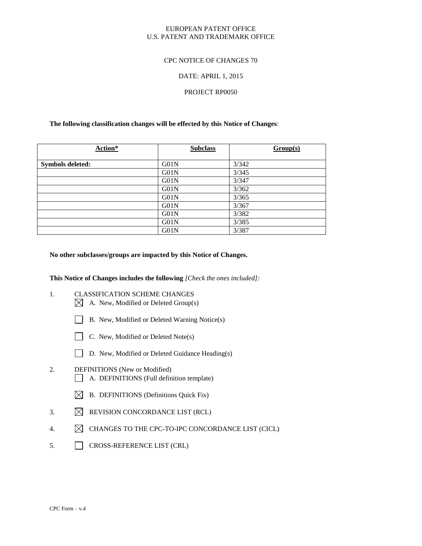# EUROPEAN PATENT OFFICE U.S. PATENT AND TRADEMARK OFFICE

# CPC NOTICE OF CHANGES 70

# DATE: APRIL 1, 2015

## PROJECT RP0050

# **The following classification changes will be effected by this Notice of Changes**:

| Action*                 | <b>Subclass</b> | Group(s) |
|-------------------------|-----------------|----------|
| <b>Symbols deleted:</b> | G01N            | 3/342    |
|                         | G01N            | 3/345    |
|                         | G01N            | 3/347    |
|                         | G01N            | 3/362    |
|                         | G01N            | 3/365    |
|                         | G01N            | 3/367    |
|                         | G01N            | 3/382    |
|                         | G01N            | 3/385    |
|                         | G01N            | 3/387    |

### **No other subclasses/groups are impacted by this Notice of Changes.**

### **This Notice of Changes includes the following** *[Check the ones included]:*

- 1. CLASSIFICATION SCHEME CHANGES  $\boxtimes$  A. New, Modified or Deleted Group(s)
	- B. New, Modified or Deleted Warning Notice(s)
	- $\Box$  C. New, Modified or Deleted Note(s)
	- D. New, Modified or Deleted Guidance Heading(s)

# 2. DEFINITIONS (New or Modified) A. DEFINITIONS (Full definition template)

- $\boxtimes$  B. DEFINITIONS (Definitions Quick Fix)
- 3.  $\boxtimes$  REVISION CONCORDANCE LIST (RCL)
- 4.  $\boxtimes$  CHANGES TO THE CPC-TO-IPC CONCORDANCE LIST (CICL)
- 5. CROSS-REFERENCE LIST (CRL)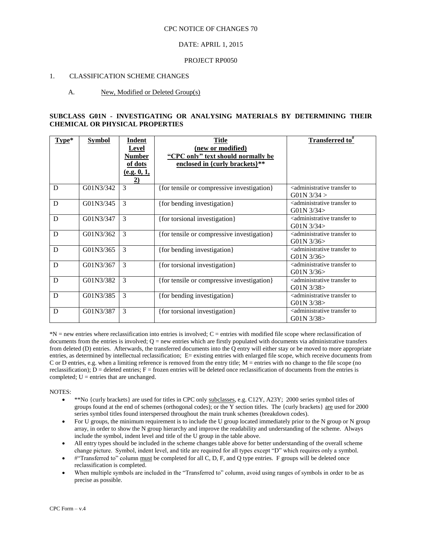# DATE: APRIL 1, 2015

### PROJECT RP0050

## 1. CLASSIFICATION SCHEME CHANGES

### A. New, Modified or Deleted Group(s)

## **SUBCLASS G01N - INVESTIGATING OR ANALYSING MATERIALS BY DETERMINING THEIR CHEMICAL OR PHYSICAL PROPERTIES**

| Type* | <b>Symbol</b> | Indent<br>Level<br><b>Number</b><br>of dots<br>(e.g. 0, 1,<br>$\overline{2)}$ | <b>Title</b><br>(new or modified)<br>"CPC only" text should normally be<br>enclosed in {curly brackets}** | Transferred to <sup>#</sup>                                                                   |
|-------|---------------|-------------------------------------------------------------------------------|-----------------------------------------------------------------------------------------------------------|-----------------------------------------------------------------------------------------------|
| D     | G01N3/342     | 3                                                                             | {for tensile or compressive investigation}                                                                | <administrative to<br="" transfer=""><math>G01N</math> 3/34 &gt;</administrative>             |
| D     | G01N3/345     | 3                                                                             | {for bending investigation}                                                                               | <administrative to<br="" transfer=""><math>G01N</math> 3/34<math>&gt;</math></administrative> |
| D     | G01N3/347     | 3                                                                             | {for torsional investigation}                                                                             | <administrative to<br="" transfer=""><math>G01N</math> 3/34<math>&gt;</math></administrative> |
| D     | G01N3/362     | 3                                                                             | {for tensile or compressive investigation}                                                                | <administrative to<br="" transfer=""><math>G01N</math> 3/36&gt;</administrative>              |
| D     | G01N3/365     | 3                                                                             | {for bending investigation}                                                                               | <administrative to<br="" transfer=""><math>G01N</math> 3/36&gt;</administrative>              |
| D     | G01N3/367     | 3                                                                             | {for torsional investigation}                                                                             | <administrative to<br="" transfer=""><math>G01N</math> 3/36&gt;</administrative>              |
| D     | G01N3/382     | 3                                                                             | {for tensile or compressive investigation}                                                                | <administrative to<br="" transfer=""><math>G01N</math> 3/38&gt;</administrative>              |
| D     | G01N3/385     | 3                                                                             | {for bending investigation}                                                                               | <administrative to<br="" transfer=""><math>G01N</math> 3/38&gt;</administrative>              |
| D     | G01N3/387     | 3                                                                             | {for torsional investigation}                                                                             | <administrative to<br="" transfer=""><math>G01N</math> 3/38&gt;</administrative>              |

\*N = new entries where reclassification into entries is involved; C = entries with modified file scope where reclassification of documents from the entries is involved;  $Q =$  new entries which are firstly populated with documents via administrative transfers from deleted (D) entries. Afterwards, the transferred documents into the Q entry will either stay or be moved to more appropriate entries, as determined by intellectual reclassification; E= existing entries with enlarged file scope, which receive documents from C or D entries, e.g. when a limiting reference is removed from the entry title;  $M =$  entries with no change to the file scope (no reclassification);  $D =$  deleted entries;  $F =$  frozen entries will be deleted once reclassification of documents from the entries is completed;  $U =$  entries that are unchanged.

- \*\*No {curly brackets} are used for titles in CPC only subclasses, e.g. C12Y, A23Y; 2000 series symbol titles of groups found at the end of schemes (orthogonal codes); or the Y section titles. The {curly brackets} are used for 2000 series symbol titles found interspersed throughout the main trunk schemes (breakdown codes).
- For U groups, the minimum requirement is to include the U group located immediately prior to the N group or N group array, in order to show the N group hierarchy and improve the readability and understanding of the scheme. Always include the symbol, indent level and title of the U group in the table above.
- All entry types should be included in the scheme changes table above for better understanding of the overall scheme change picture. Symbol, indent level, and title are required for all types except "D" which requires only a symbol.
- #"Transferred to" column must be completed for all C, D, F, and Q type entries. F groups will be deleted once reclassification is completed.
- When multiple symbols are included in the "Transferred to" column, avoid using ranges of symbols in order to be as precise as possible.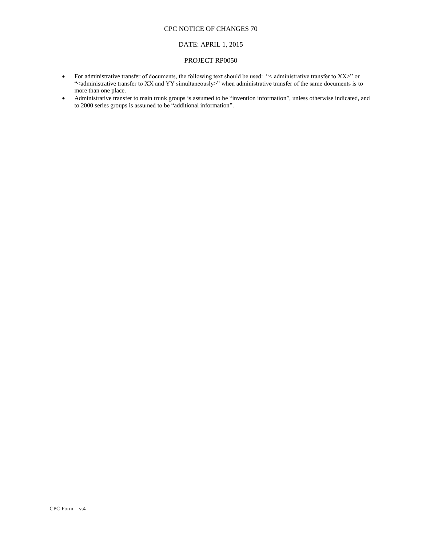# CPC NOTICE OF CHANGES 70

## DATE: APRIL 1, 2015

#### PROJECT RP0050

- For administrative transfer of documents, the following text should be used: "< administrative transfer to XX>" or "<administrative transfer to XX and YY simultaneously>" when administrative transfer of the same documents is to more than one place.
- Administrative transfer to main trunk groups is assumed to be "invention information", unless otherwise indicated, and to 2000 series groups is assumed to be "additional information".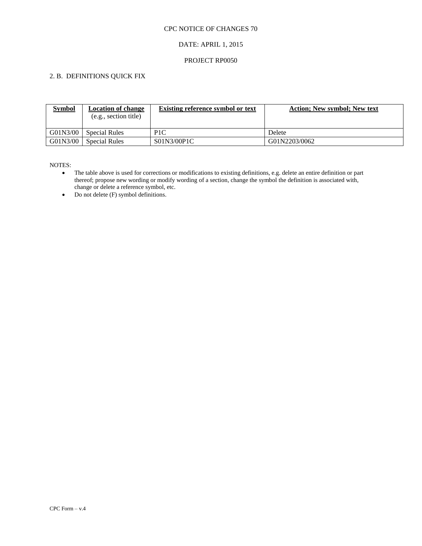# CPC NOTICE OF CHANGES 70

# DATE: APRIL 1, 2015

# PROJECT RP0050

# 2. B. DEFINITIONS QUICK FIX

| <b>Symbol</b> | <b>Location of change</b><br>(e.g., section title) | <b>Existing reference symbol or text</b> | <b>Action</b> ; New symbol; New text |
|---------------|----------------------------------------------------|------------------------------------------|--------------------------------------|
| G01N3/00      | Special Rules                                      | P <sub>1</sub> C                         | Delete                               |
| G01N3/00      | <b>Special Rules</b>                               | S01N3/00P1C                              | G01N2203/0062                        |

- The table above is used for corrections or modifications to existing definitions, e.g. delete an entire definition or part thereof; propose new wording or modify wording of a section, change the symbol the definition is associated with, change or delete a reference symbol, etc.
- Do not delete (F) symbol definitions.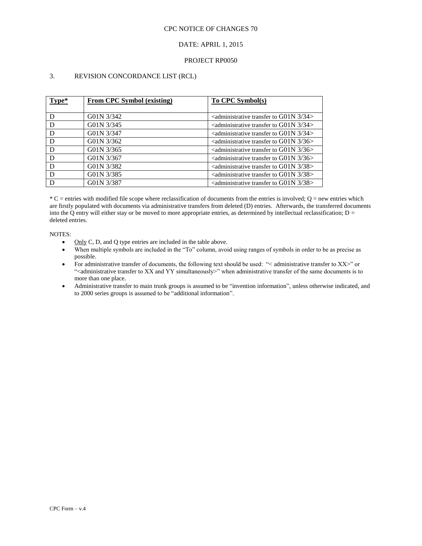### CPC NOTICE OF CHANGES 70

# DATE: APRIL 1, 2015

### PROJECT RP0050

# 3. REVISION CONCORDANCE LIST (RCL)

| Type* | From CPC Symbol (existing) | To CPC Symbol(s)                                                                |
|-------|----------------------------|---------------------------------------------------------------------------------|
|       |                            |                                                                                 |
| D     | G01N 3/342                 | $\alpha$ <administrative 3="" 34="" g01n="" to="" transfer=""></administrative> |
| D     | G01N 3/345                 | $\alpha$ <administrative 3="" 34="" g01n="" to="" transfer=""></administrative> |
| D     | G01N 3/347                 | $\alpha$ administrative transfer to G01N 3/34>                                  |
| D     | G01N 3/362                 | $\alpha$ <administrative 3="" 36="" g01n="" to="" transfer=""></administrative> |
| D     | G01N 3/365                 | $\alpha$ <administrative 3="" 36="" g01n="" to="" transfer=""></administrative> |
| D     | G01N 3/367                 | $\alpha$ <administrative 3="" 36="" g01n="" to="" transfer=""></administrative> |
| D     | G01N 3/382                 | $\alpha$ <administrative 3="" 38="" g01n="" to="" transfer=""></administrative> |
| D     | G01N 3/385                 | $\alpha$ administrative transfer to G01N 3/38>                                  |
|       | G01N 3/387                 | $\alpha$ <administrative 3="" 38="" g01n="" to="" transfer=""></administrative> |

 $*C$  = entries with modified file scope where reclassification of documents from the entries is involved; Q = new entries which are firstly populated with documents via administrative transfers from deleted (D) entries. Afterwards, the transferred documents into the Q entry will either stay or be moved to more appropriate entries, as determined by intellectual reclassification;  $D =$ deleted entries.

- Only C, D, and Q type entries are included in the table above.
- When multiple symbols are included in the "To" column, avoid using ranges of symbols in order to be as precise as possible.
- For administrative transfer of documents, the following text should be used: "< administrative transfer to XX>" or "<administrative transfer to XX and YY simultaneously>" when administrative transfer of the same documents is to more than one place.
- Administrative transfer to main trunk groups is assumed to be "invention information", unless otherwise indicated, and to 2000 series groups is assumed to be "additional information".